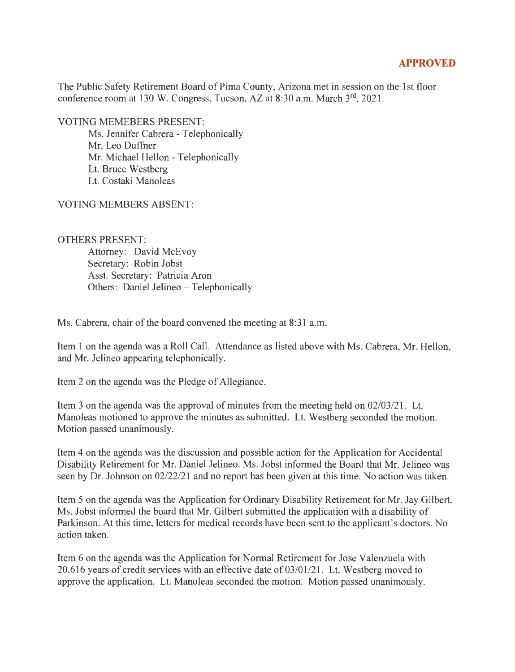## **APPROVED**

The Public Safety Retirement Board of Pima County, Arizona met in session on the 1st floor conference room at 130 W. Congress, Tucson, AZ at 8:30 a.m. March 3<sup>rd</sup>, 2021.

VOTING MEMEBERS PRESENT:

Ms. Jennifer Cabrera - Telephonically Mr. Leo Duffner Mr. Michael Hellon - Telephonically Lt. Bruce Westberg Lt. Costaki Manoleas

VOTING MEMBERS ABSENT:

## OTHERS PRESENT:

Attorney: David McEvoy Secretary: Robin Jobst Asst. Secretary: Patricia Aron Others: Daniel Jelineo - Telephonically

Ms. Cabrera, chair of the board convened the meeting at 8:31 a.m.

Item 1 on the agenda was a Roll Call. Attendance as listed above with Ms. Cabrera, Mr. Hellon, and Mr. Jelineo appearing telephonically.

Item 2 on the agenda was the Pledge of Allegiance.

Item 3 on the agenda was the approval of minutes from the meeting held on 02/03/21. Lt. Manoleas motioned to approve the minutes as submitted. Lt. Westberg seconded the motion. Motion passed unanimously.

Item 4 on the agenda was the discussion and possible action for the Application for Accidental Disability Retirement for Mr. Daniel Jelineo. Ms. Jobst informed the Board that Mr. Jelineo was seen by Dr. Johnson on 02/22/21 and no report has been given at this time. No action was taken.

Item 5 on the agenda was the Application for Ordinary Disability Retirement for Mr. Jay Gilbert. Ms. Jobst informed the board that Mr. Gilbert submitted the application with a disability of Parkinson. At this time, letters for medical records have been sent to the applicant's doctors. No action taken.

Item 6 on the agenda was the Application for Normal Retirement for Jose Valenzuela with 20.616 years of credit services with an effective date of 03/01/21. Lt. Westberg moved to approve the application. Lt. Manoleas seconded the motion. Motion passed unanimously.